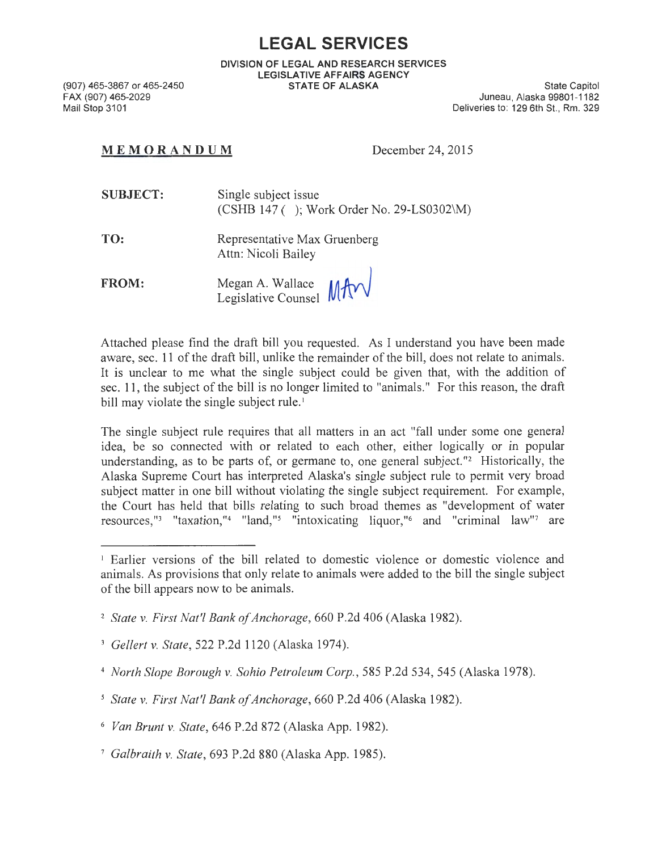## **LEGAL SERVICES**

DIVISION OF LEGAL AND RESEARCH SERVICES LEGISLATIVE AFFAIRS AGENCY STATE OF ALASKA State Capitol

(907) 465-3867 or 465-2450 FAX (907) 465-2029 Mail Stop 3101

Juneau, Alaska 99801-1182 Deliveries to: 129 6th St., Rm. 329

## MEM ORANDUM December 24, 2015

| <b>SUBJECT:</b> | Single subject issue<br>$(CSHB 147$ ( ); Work Order No. 29-LS0302\M) |
|-----------------|----------------------------------------------------------------------|
| TO:             | Representative Max Gruenberg<br>Attn: Nicoli Bailey                  |

FROM: Megan A. Wallace  $\text{MAD}$ Legislative Counsel **IVI** 

Attached please find the draft bill you requested. As I understand you have been made aware, sec. 11 of the draft bill, unlike the remainder of the bill, does not relate to animals. It is unclear to me what the single subject could be given that, with the addition of sec. 11 , the subject of the bill is no longer limited to "animals." For this reason, the draft bill may violate the single subject rule.'

The single subject rule requires that all matters in an act "fall under some one general idea, be so connected with or related to each other, either logically or in popular understanding, as to be parts of, or germane to, one general subject."<sup>2</sup> Historically, the Alaska Supreme Court has interpreted Alaska's single subject rule to permit very broad subject matter in one bill without violating the single subject requirement. For example, the Court has held that bills relating to such broad themes as "development of water resources,"<sup>3</sup> "taxation,"<sup>4</sup> "land,"<sup>5</sup> "intoxicating liquor,"<sup>6</sup> and "criminal law"<sup>7</sup> are

<sup>1</sup> Earlier versions of the bill related to domestic violence or domestic violence and animals. As provisions that only relate to animals were added to the bill the single subject of the bill appears now to be animals.

<sup>2</sup>*State v. First Nat'! Bank of Anchorage,* 660 P.2d 406 (Alaska 1982).

<sup>3</sup>*Gellert v. State ,* 522 P.2d 1120 (Alaska 1974).

<sup>4</sup>*North Slope Borough v. Sohio Petroleum Corp.,* 585 P.2d 534, 545 (Alaska 1978).

*<sup>5</sup> State v. First Nat'! Bank of Anchorage,* 660 P.2d 406 (Alaska 1982).

<sup>6</sup>*Van Brunt v. State,* 646 P.2d 872 (Alaska App. 1982).

<sup>7</sup> *Galbraith v. State,* 693 P.2d 880 (Alaska App. 1985).